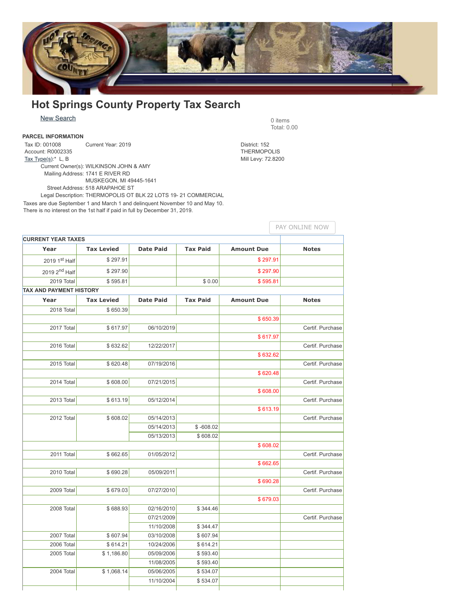

## **Hot Springs County Property Tax Search**

New [Search](https://maps.greenwoodmap.com/hotsprings/treas/query/search.php) 0 items

## **PARCEL INFORMATION**

Tax ID: 001008 Account: R0002335 Tax Type $(s)$ :\* L, B Current Year: 2019 District: 152 Current Owner(s): WILKINSON JOHN & AMY Mailing Address: 1741 E RIVER RD MUSKEGON, MI 49445-1641 Street Address: 518 ARAPAHOE ST

Legal Description: THERMOPOLIS OT BLK 22 LOTS 19- 21 COMMERCIAL Taxes are due September 1 and March 1 and delinquent November 10 and May 10. There is no interest on the 1st half if paid in full by December 31, 2019.

**CURRENT YEAR TAXES Year Tax Levied Date Paid Tax Paid Amount Due Notes**  $20191<sup>st</sup> Half$  \$ 297.91  $\bullet$  \$ 297.91 2019 2<sup>nd</sup> Half nd Half \$ 297.90 \$ 297.90 2019 Total 76 1991 5 1991 5 1991 5 1992 5 1993 5 1994 5 1994 5 1995.81 **TAX AND PAYMENT HISTORY Year Tax Levied Date Paid Tax Paid Amount Due Notes** 2018 Total \$ 650.39 \$ 650.39 2017 Total \$ 617.97 06/10/2019 Certif. Purchase \$ 617.97 2016 Total \$ 632.62 12/22/2017 Certif. Purchase \$ 632.62 2015 Total \$ 620.48 07/19/2016 Certif. Purchase \$ 620.48 2014 Total \$ 608.00 07/21/2015 Certif. Purchase \$ 608.00 2013 Total \$ 613.19 05/12/2014 Certif. Purchase \$ 613.19 2012 Total **\$ 608.02** 05/14/2013 Certif. Purchase Certif. Purchase 05/14/2013 \$-608.02 05/13/2013 \$608.02 \$ 608.02 2011 Total \$ 662.65 01/05/2012 Certif. Purchase \$ 662.65 2010 Total \$ 690.28 05/09/2011 Certif. Purchase \$ 690.28 2009 Total  $$679.03$  07/27/2010  $\vert$  Certif. Purchase \$ 679.03 2008 Total **\$ 688.93** 02/16/2010 \$ 344.46 07/21/2009 Certif. Purchase 11/10/2008 \$344.47 2007 Total \$ 607.94 03/10/2008 \$ 607.94 2006 Total **\$ 614.21** 10/24/2006 \$ 614.21 2005 Total **\$ 1,186.80** 05/09/2006 \$ 593.40 11/08/2005 \$593.40 2004 Total \$ 1,068.14 05/06/2005 \$ 534.07 11/10/2004 \$534.07 PAY ONLINE NOW

Total: 0.00

**THERMOPOLIS** Mill Levy: 72.8200